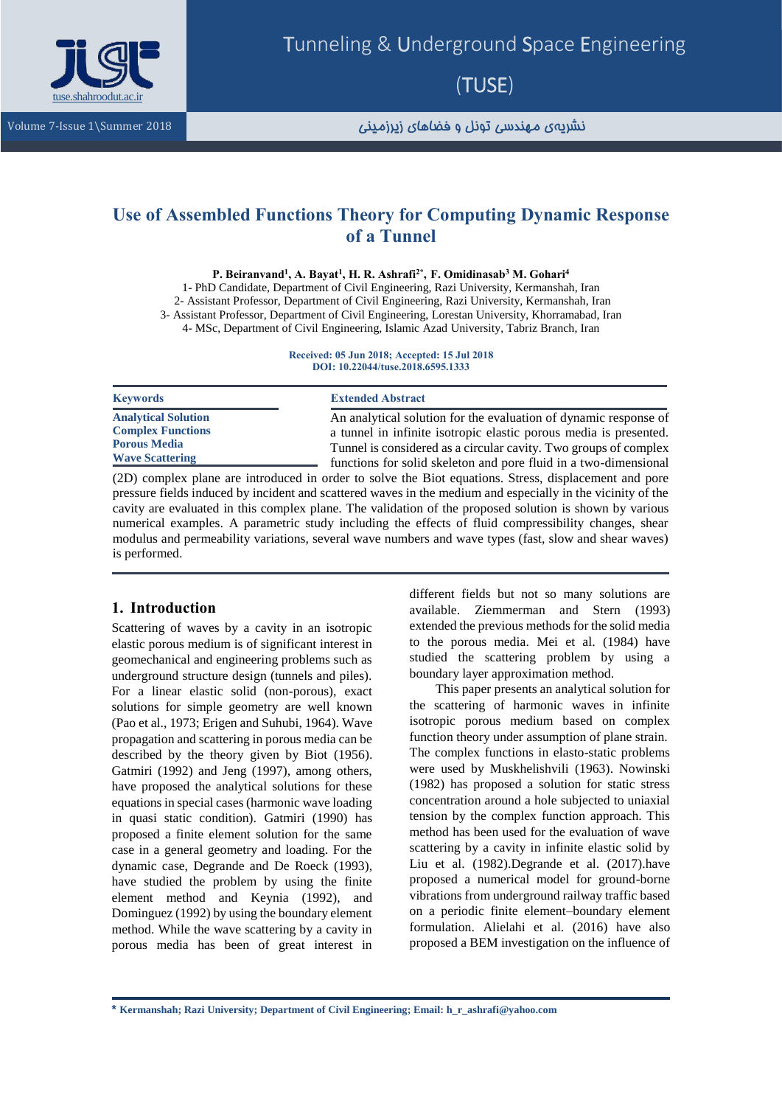

نشریهی مهندسی تونل و فضاهای زیرزمینی <sup>2018</sup> Summer\1 Issue7- Volume

# **Use of Assembled Functions Theory for Computing Dynamic Response of a Tunnel**

**P. Beiranvand<sup>1</sup> , A. Bayat<sup>1</sup> , H. R. Ashrafi2\* , [F. Omidinasab](http://tuse.shahroodut.ac.ir/?_action=article&au=31248&_au=F.++Omidinasab)[3](http://tuse.shahroodut.ac.ir/?_action=article&au=31248&_au=F.++Omidinasab) M. Gohari<sup>4</sup>** 1- PhD Candidate, Department of Civil Engineering, Razi University, Kermanshah, Iran 2- Assistant Professor, Department of Civil Engineering, Razi University, Kermanshah, Iran 3- Assistant Professor, Department of Civil Engineering, Lorestan University, Khorramabad, Iran 4- MSc, Department of Civil Engineering, Islamic Azad University, Tabriz Branch, Iran

> **Received: 05 Jun 2018; Accepted: 15 Jul 2018 DOI: 10.22044/tuse.2018.6595.1333**

| <b>Keywords</b>                                                                                         | <b>Extended Abstract</b>                                                                                                                                                                                  |
|---------------------------------------------------------------------------------------------------------|-----------------------------------------------------------------------------------------------------------------------------------------------------------------------------------------------------------|
| <b>Analytical Solution</b><br><b>Complex Functions</b><br><b>Porous Media</b><br><b>Wave Scattering</b> | An analytical solution for the evaluation of dynamic response of<br>a tunnel in infinite isotropic elastic porous media is presented.<br>Tunnel is considered as a circular cavity. Two groups of complex |
|                                                                                                         | functions for solid skeleton and pore fluid in a two-dimensional                                                                                                                                          |

(2D) complex plane are introduced in order to solve the Biot equations. Stress, displacement and pore pressure fields induced by incident and scattered waves in the medium and especially in the vicinity of the cavity are evaluated in this complex plane. The validation of the proposed solution is shown by various numerical examples. A parametric study including the effects of fluid compressibility changes, shear modulus and permeability variations, several wave numbers and wave types (fast, slow and shear waves) is performed.

# **1. Introduction**

Scattering of waves by a cavity in an isotropic elastic porous medium is of significant interest in geomechanical and engineering problems such as underground structure design (tunnels and piles). For a linear elastic solid (non-porous), exact solutions for simple geometry are well known (Pao et al., 1973; Erigen and Suhubi, 1964). Wave propagation and scattering in porous media can be described by the theory given by Biot (1956). Gatmiri (1992) and Jeng (1997), among others, have proposed the analytical solutions for these equations in special cases (harmonic wave loading in quasi static condition). Gatmiri (1990) has proposed a finite element solution for the same case in a general geometry and loading. For the dynamic case, Degrande and De Roeck (1993), have studied the problem by using the finite element method and Keynia (1992), and Dominguez (1992) by using the boundary element method. While the wave scattering by a cavity in porous media has been of great interest in

different fields but not so many solutions are available. Ziemmerman and Stern (1993) extended the previous methods for the solid media to the porous media. Mei et al. (1984) have studied the scattering problem by using a boundary layer approximation method.

This paper presents an analytical solution for the scattering of harmonic waves in infinite isotropic porous medium based on complex function theory under assumption of plane strain. The complex functions in elasto-static problems were used by Muskhelishvili (1963). Nowinski (1982) has proposed a solution for static stress concentration around a hole subjected to uniaxial tension by the complex function approach. This method has been used for the evaluation of wave scattering by a cavity in infinite elastic solid by Liu et al. (1982).Degrande et al. (2017).have proposed a numerical model for ground-borne vibrations from underground railway traffic based on a periodic finite element–boundary element formulation. Alielahi et al. (2016) have also proposed a BEM investigation on the influence of

**\* Kermanshah; Razi University; Department of Civil Engineering; Email: h\_r\_ashrafi@yahoo.com**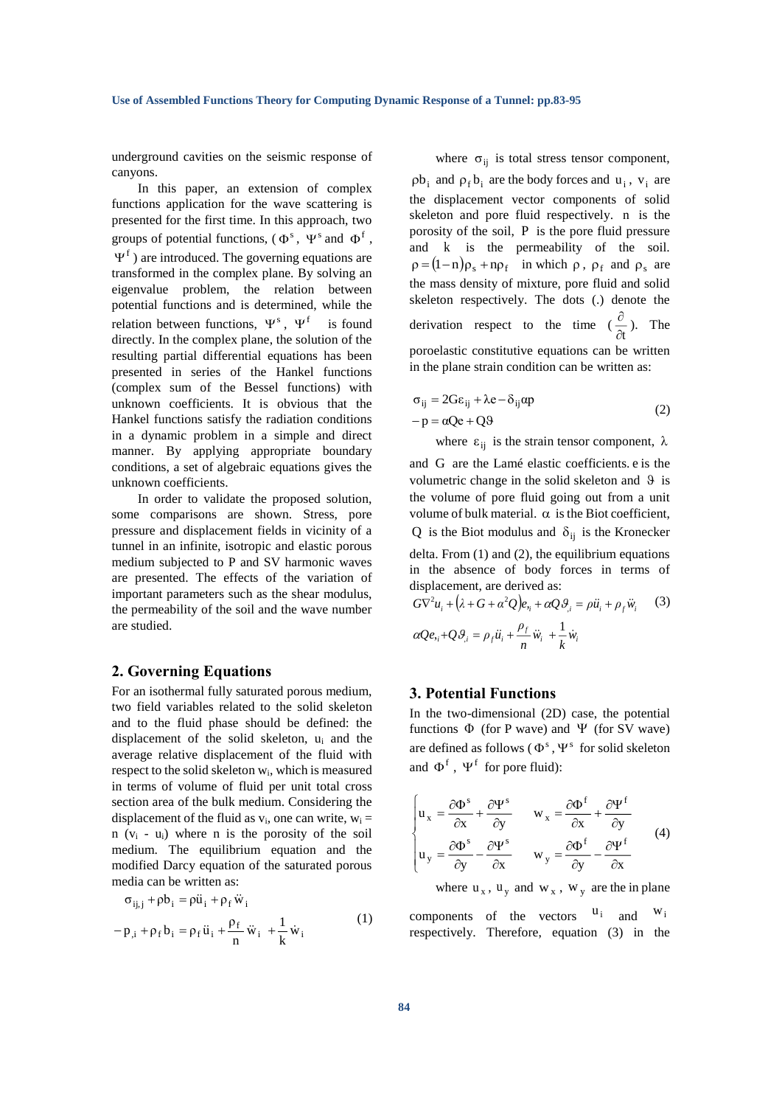underground cavities on the seismic response of canyons.

In this paper, an extension of complex functions application for the wave scattering is presented for the first time. In this approach, two groups of potential functions,  $(\Phi^s, \Psi^s)$  and  $\Phi^f$ ,  $\Psi$ <sup>f</sup>) are introduced. The governing equations are transformed in the complex plane. By solving an eigenvalue problem, the relation between potential functions and is determined, while the relation between functions,  $\Psi^s$ , is found directly. In the complex plane, the solution of the resulting partial differential equations has been presented in series of the Hankel functions (complex sum of the Bessel functions) with unknown coefficients. It is obvious that the Hankel functions satisfy the radiation conditions in a dynamic problem in a simple and direct manner. By applying appropriate boundary conditions, a set of algebraic equations gives the unknown coefficients.

In order to validate the proposed solution, some comparisons are shown. Stress, pore pressure and displacement fields in vicinity of a tunnel in an infinite, isotropic and elastic porous medium subjected to P and SV harmonic waves are presented. The effects of the variation of important parameters such as the shear modulus, the permeability of the soil and the wave number are studied.

## **2. Governing Equations**

For an isothermal fully saturated porous medium, two field variables related to the solid skeleton and to the fluid phase should be defined: the displacement of the solid skeleton, u<sup>i</sup> and the average relative displacement of the fluid with respect to the solid skeleton wi, which is measured in terms of volume of fluid per unit total cross section area of the bulk medium. Considering the displacement of the fluid as  $v_i$ , one can write,  $w_i =$  $n$  ( $v_i$  -  $u_i$ ) where n is the porosity of the soil medium. The equilibrium equation and the modified Darcy equation of the saturated porous media can be written as:

$$
\sigma_{ij,j} + \rho b_i = \rho \ddot{u}_i + \rho_f \ddot{w}_i
$$
  
- 
$$
p_{i} + \rho_f b_i = \rho_f \ddot{u}_i + \frac{\rho_f}{n} \ddot{w}_i + \frac{1}{k} \dot{w}_i
$$
 (1)

where  $\sigma_{ij}$  is total stress tensor component,

 $pb_i$  and  $p_f b_i$  are the body forces and  $u_i$ ,  $v_i$  are the displacement vector components of solid skeleton and pore fluid respectively. n is the porosity of the soil, P is the pore fluid pressure and k is the permeability of the soil.  $\rho = (1 - n)\rho_s + n\rho_f$  in which  $\rho$ ,  $\rho_f$  and  $\rho_s$  are the mass density of mixture, pore fluid and solid skeleton respectively. The dots (.) denote the derivation respect to the time  $\left(\frac{\delta}{\delta t}\right)$  $\frac{\partial}{\partial}$ ). The poroelastic constitutive equations can be written in the plane strain condition can be written as:

$$
\sigma_{ij} = 2G\varepsilon_{ij} + \lambda e - \delta_{ij}\alpha p
$$
  
-p = \alpha Qe + Q9 (2)

where  $\varepsilon_{ij}$  is the strain tensor component,  $\lambda$ 

and G are the Lamé elastic coefficients. e is the volumetric change in the solid skeleton and  $9$  is the volume of pore fluid going out from a unit volume of bulk material.  $\alpha$  is the Biot coefficient, Q is the Biot modulus and  $\delta_{ij}$  is the Kronecker delta. From  $(1)$  and  $(2)$ , the equilibrium equations in the absence of body forces in terms of displacement, are derived as:

$$
G\nabla^2 u_i + (\lambda + G + \alpha^2 Q)e_{ij} + \alpha Q \theta_{ji} = \rho \ddot{u}_i + \rho_f \ddot{w}_i
$$
 (3)  

$$
\alpha Q e_{ij} + Q \theta_{ji} = \rho_f \ddot{u}_i + \frac{\rho_f}{n} \ddot{w}_i + \frac{1}{k} \dot{w}_i
$$

### **3. Potential Functions**

In the two-dimensional (2D) case, the potential functions  $\Phi$  (for P wave) and  $\Psi$  (for SV wave) are defined as follows ( $\Phi^s$ ,  $\Psi^s$  for solid skeleton and  $\Phi^f$ ,  $\Psi^f$  for pore fluid):

$$
\begin{cases}\n\mathbf{u}_{x} = \frac{\partial \Phi^{s}}{\partial x} + \frac{\partial \Psi^{s}}{\partial y} & \mathbf{w}_{x} = \frac{\partial \Phi^{f}}{\partial x} + \frac{\partial \Psi^{f}}{\partial y} \\
\mathbf{u}_{y} = \frac{\partial \Phi^{s}}{\partial y} - \frac{\partial \Psi^{s}}{\partial x} & \mathbf{w}_{y} = \frac{\partial \Phi^{f}}{\partial y} - \frac{\partial \Psi^{f}}{\partial x}\n\end{cases}
$$
\n(4)

where  $u_x$ ,  $u_y$  and  $w_x$ ,  $w_y$  are the in plane

components of the vectors  $u_i$  and  $w_i$ respectively. Therefore, equation (3) in the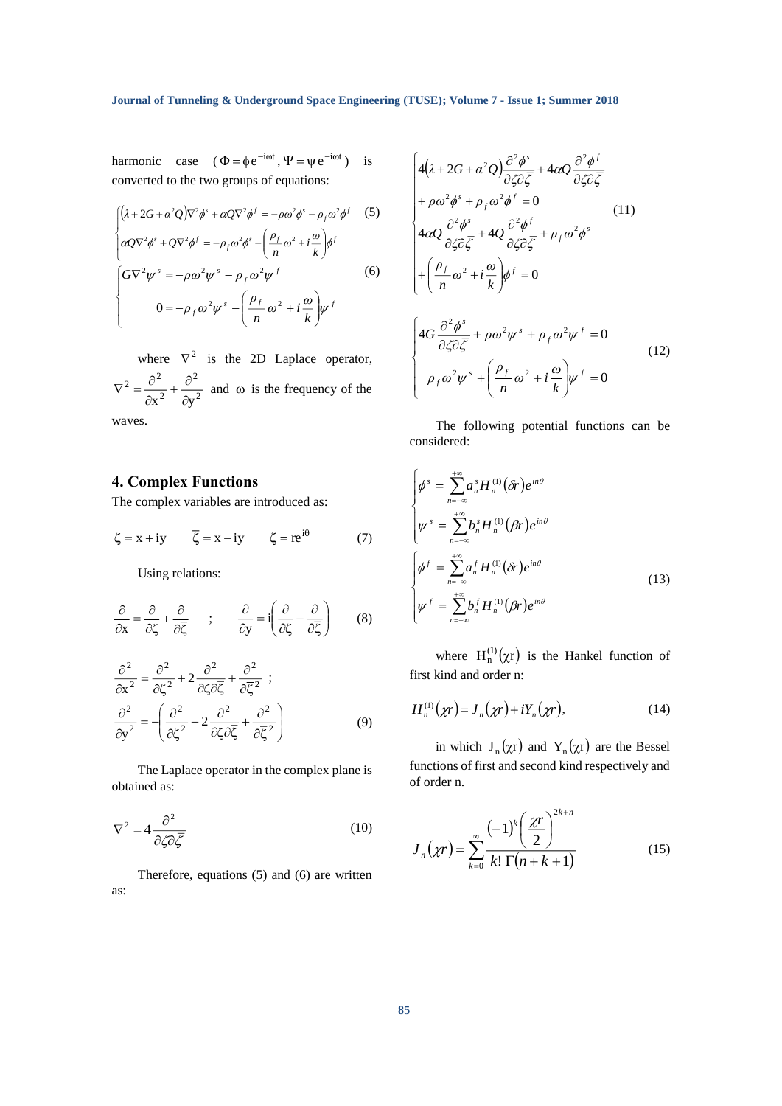$\mathsf{I}$ I l

harmonic case  $(\Phi = \phi e^{-i\omega t}, \Psi = \psi e^{-i\omega t})$  is converted to the two groups of equations:

$$
\begin{cases}\n(\lambda + 2G + \alpha^2 Q)\nabla^2 \phi^s + \alpha Q \nabla^2 \phi^f = -\rho \omega^2 \phi^s - \rho_f \omega^2 \phi^f\n\end{cases}
$$
\n
$$
\begin{cases}\n\alpha Q \nabla^2 \phi^s + Q \nabla^2 \phi^f = -\rho_f \omega^2 \phi^s - \left(\frac{\rho_f}{n} \omega^2 + i\frac{\omega}{k}\right) \phi^f \\
\int G \nabla^2 \psi^s = -\rho \omega^2 \psi^s - \rho_f \omega^2 \psi^f\n\end{cases}
$$
\n
$$
0 = -\rho_f \omega^2 \psi^s - \left(\frac{\rho_f}{n} \omega^2 + i\frac{\omega}{k}\right) \psi^f\n\end{cases}
$$
\n(6)

where  $\nabla^2$  is the 2D Laplace operator, 2 2 2 2  $\partial^2$  $x^2$   $\partial y$  $\frac{\partial^2}{\partial x^2} + \frac{\partial}{\partial y}$  $\nabla^2 = \frac{\partial^2}{\partial x^2} + \frac{\partial^2}{\partial y^2}$  and  $\omega$  is the frequency of the waves.

# **4. Complex Functions**

The complex variables are introduced as:

$$
\zeta = x + iy \qquad \overline{\zeta} = x - iy \qquad \zeta = re^{i\theta} \qquad (7)
$$

Using relations:

$$
\frac{\partial}{\partial x} = \frac{\partial}{\partial \zeta} + \frac{\partial}{\partial \overline{\zeta}} \qquad ; \qquad \frac{\partial}{\partial y} = i \left( \frac{\partial}{\partial \zeta} - \frac{\partial}{\partial \overline{\zeta}} \right) \tag{8}
$$

$$
\frac{\partial^2}{\partial x^2} = \frac{\partial^2}{\partial \zeta^2} + 2 \frac{\partial^2}{\partial \zeta \partial \overline{\zeta}} + \frac{\partial^2}{\partial \overline{\zeta}^2} ;
$$
  

$$
\frac{\partial^2}{\partial y^2} = \left( \frac{\partial^2}{\partial \zeta^2} - 2 \frac{\partial^2}{\partial \zeta \partial \overline{\zeta}} + \frac{\partial^2}{\partial \overline{\zeta}^2} \right)
$$
(9)

The Laplace operator in the complex plane is obtained as:

$$
\nabla^2 = 4 \frac{\partial^2}{\partial \zeta \partial \overline{\zeta}}
$$
 (10)

Therefore, equations (5) and (6) are written as:

$$
\begin{cases}\n4(\lambda + 2G + \alpha^2 Q) \frac{\partial^2 \phi^s}{\partial \zeta \partial \zeta} + 4\alpha Q \frac{\partial^2 \phi^f}{\partial \zeta \partial \zeta} \\
+ \rho \omega^2 \phi^s + \rho_f \omega^2 \phi^f = 0 \tag{11} \\
4\alpha Q \frac{\partial^2 \phi^s}{\partial \zeta \partial \overline{\zeta}} + 4Q \frac{\partial^2 \phi^f}{\partial \zeta \partial \overline{\zeta}} + \rho_f \omega^2 \phi^s \\
+ \left(\frac{\rho_f}{n} \omega^2 + i \frac{\omega}{k}\right) \phi^f = 0\n\end{cases}
$$
\n
$$
\begin{cases}\n4G \frac{\partial^2 \phi^s}{\partial \zeta \partial \overline{\zeta}} + \rho \omega^2 \psi^s + \rho_f \omega^2 \psi^f = 0 \\
\rho_f \omega^2 \psi^s + \left(\frac{\rho_f}{n} \omega^2 + i \frac{\omega}{k}\right) \psi^f = 0\n\end{cases}
$$
\n(12)

The following potential functions can be considered:

 $\omega^2 + i \frac{\omega}{\omega}$ 

 $\overline{\phantom{a}}$ l

*n ρ*  $\rho_{\scriptscriptstyle f}\omega\psi^* + (-\omega_{\scriptscriptstyle f}+i-\psi_{\scriptscriptstyle f})$ 

 $\int^{\mu}$  = ١

$$
\begin{cases}\n\phi^s = \sum_{n=-\infty}^{+\infty} a_n^s H_n^{(1)}(\delta r) e^{in\theta} \\
\psi^s = \sum_{n=-\infty}^{+\infty} b_n^s H_n^{(1)}(\beta r) e^{in\theta} \\
\phi^f = \sum_{n=-\infty}^{+\infty} a_n^f H_n^{(1)}(\delta r) e^{in\theta} \\
\psi^f = \sum_{n=-\infty}^{+\infty} b_n^f H_n^{(1)}(\beta r) e^{in\theta}\n\end{cases} \tag{13}
$$

where  $H_n^{(1)}(\chi r)$  is the Hankel function of first kind and order n:

$$
H_n^{(1)}(\chi r) = J_n(\chi r) + iY_n(\chi r), \qquad (14)
$$

in which  $J_n(\chi r)$  and  $Y_n(\chi r)$  are the Bessel functions of first and second kind respectively and of order n.

$$
J_n(\chi r) = \sum_{k=0}^{\infty} \frac{(-1)^k \left(\frac{\chi r}{2}\right)^{2k+n}}{k! \Gamma(n+k+1)}
$$
(15)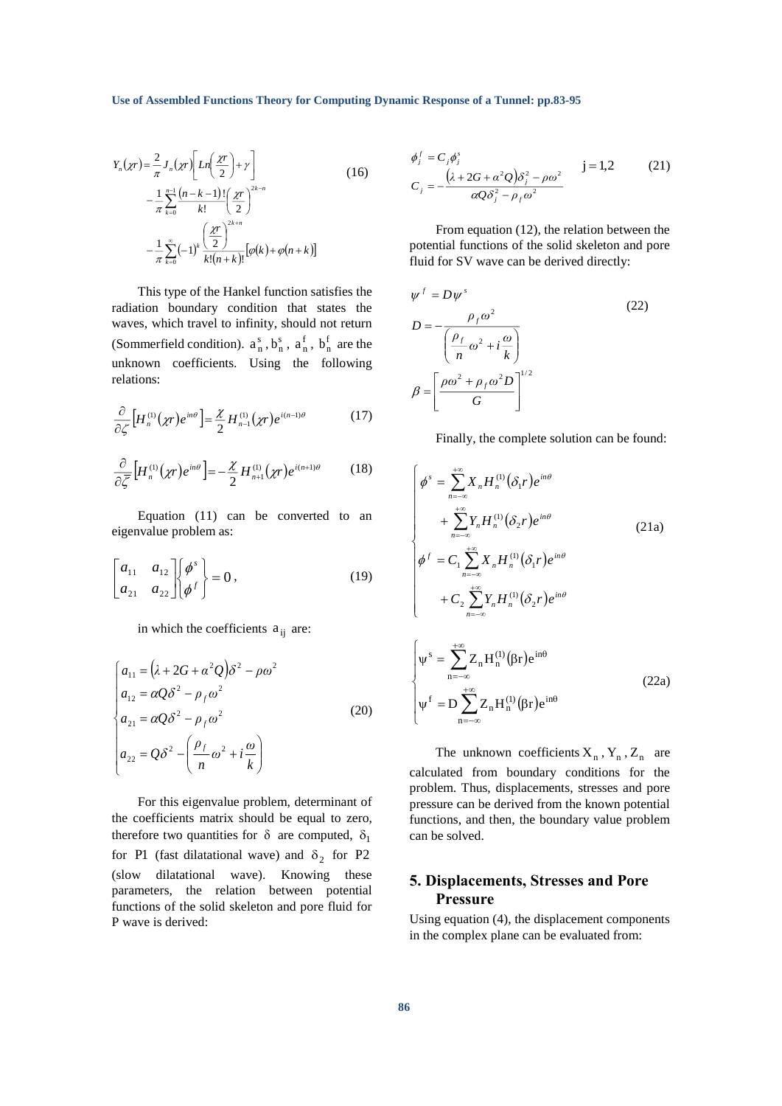**Use of Assembled Functions Theory for Computing Dynamic Response of a Tunnel: pp.83-95**

$$
Y_n(\chi r) = \frac{2}{\pi} J_n(\chi r) \left[ Ln\left(\frac{\chi r}{2}\right) + \gamma \right]
$$
  

$$
- \frac{1}{\pi} \sum_{k=0}^{n-1} \frac{(n-k-1)!}{k!} \left(\frac{\chi r}{2}\right)^{2k-n}
$$
  

$$
- \frac{1}{\pi} \sum_{k=0}^{\infty} (-1)^k \frac{\left(\frac{\chi r}{2}\right)^{2k+n}}{k!(n+k)!} [\varphi(k) + \varphi(n+k)]
$$
 (16)

This type of the Hankel function satisfies the radiation boundary condition that states the waves, which travel to infinity, should not return (Sommerfield condition).  $a_n^s$ ,  $b_n^s$ ,  $a_n^f$ ,  $b_n^f$  are the unknown coefficients. Using the following relations:

$$
\frac{\partial}{\partial \zeta} \Big[ H_n^{(1)}(\chi r) e^{in\theta} \Big] = \frac{\chi}{2} H_{n-1}^{(1)}(\chi r) e^{i(n-1)\theta} \tag{17}
$$

$$
\frac{\partial}{\partial \overline{\zeta}} \Big[ H_n^{(1)}(\chi r) e^{in\theta} \Big] = -\frac{\chi}{2} H_{n+1}^{(1)}(\chi r) e^{i(n+1)\theta} \tag{18}
$$

Equation (11) can be converted to an eigenvalue problem as:

$$
\begin{bmatrix} a_{11} & a_{12} \\ a_{21} & a_{22} \end{bmatrix} \begin{bmatrix} \phi^s \\ \phi^f \end{bmatrix} = 0, \qquad (19)
$$

in which the coefficients  $a_{ij}$  are:

$$
\begin{cases}\na_{11} = (\lambda + 2G + \alpha^2 Q)\delta^2 - \rho\omega^2 \\
a_{12} = \alpha Q\delta^2 - \rho_f\omega^2 \\
a_{21} = \alpha Q\delta^2 - \rho_f\omega^2\n\end{cases}
$$
\n(20)\n
$$
\begin{cases}\na_{22} = Q\delta^2 - \left(\frac{\rho_f}{n}\omega^2 + i\frac{\omega}{k}\right)\n\end{cases}
$$

For this eigenvalue problem, determinant of the coefficients matrix should be equal to zero, therefore two quantities for  $\delta$  are computed,  $\delta_1$ for P1 (fast dilatational wave) and  $\delta_2$  for P2 (slow dilatational wave). Knowing these parameters, the relation between potential functions of the solid skeleton and pore fluid for P wave is derived:

$$
\phi_j^f = C_j \phi_j^s
$$
  
\n
$$
C_j = -\frac{(\lambda + 2G + \alpha^2 Q)\delta_j^2 - \rho \omega^2}{\alpha Q \delta_j^2 - \rho_f \omega^2}
$$
 j = 1,2 (21)

From equation (12), the relation between the potential functions of the solid skeleton and pore fluid for SV wave can be derived directly:

$$
\psi^{f} = D\psi^{s}
$$
\n
$$
D = -\frac{\rho_{f}\omega^{2}}{\left(\frac{\rho_{f}}{n}\omega^{2} + i\frac{\omega}{k}\right)}
$$
\n
$$
\beta = \left[\frac{\rho\omega^{2} + \rho_{f}\omega^{2}D}{G}\right]^{1/2}
$$
\n(22)

Finally, the complete solution can be found:

$$
\begin{cases}\n\phi^{s} = \sum_{n=-\infty}^{+\infty} X_{n} H_{n}^{(1)}(\delta_{1}r)e^{in\theta} \\
+ \sum_{n=-\infty}^{+\infty} Y_{n} H_{n}^{(1)}(\delta_{2}r)e^{in\theta} \\
\phi^{f} = C_{1} \sum_{n=-\infty}^{+\infty} X_{n} H_{n}^{(1)}(\delta_{1}r)e^{in\theta} \\
+ C_{2} \sum_{n=-\infty}^{+\infty} Y_{n} H_{n}^{(1)}(\delta_{2}r)e^{in\theta} \\
\psi^{s} = \sum_{n=-\infty}^{+\infty} Z_{n} H_{n}^{(1)}(\beta r)e^{in\theta} \\
\psi^{f} = D \sum_{n=-\infty}^{+\infty} Z_{n} H_{n}^{(1)}(\beta r)e^{in\theta}\n\end{cases}
$$
\n(22a)

The unknown coefficients  $X_n$ ,  $Y_n$ ,  $Z_n$  are calculated from boundary conditions for the problem. Thus, displacements, stresses and pore pressure can be derived from the known potential functions, and then, the boundary value problem can be solved.

n

# **5. Displacements, Stresses and Pore Pressure**

Using equation (4), the displacement components in the complex plane can be evaluated from: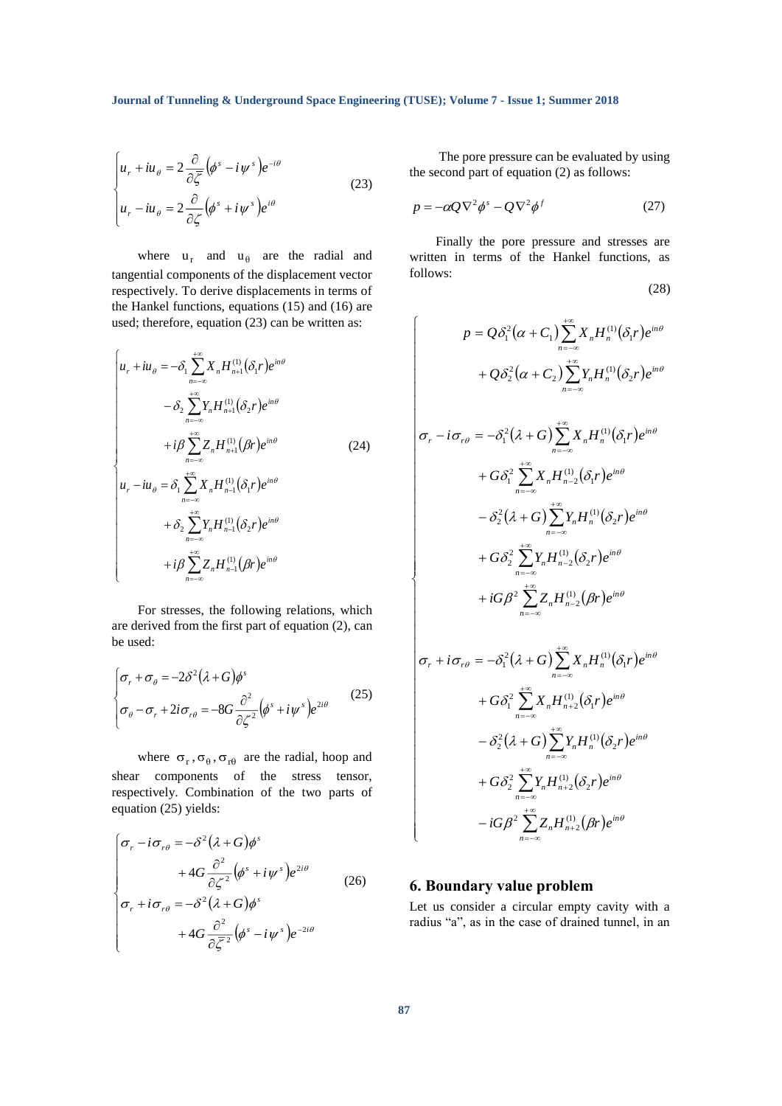$$
\begin{cases} u_r + i u_\theta = 2 \frac{\partial}{\partial \overline{\zeta}} (\phi^s - i \psi^s) e^{-i\theta} \\ u_r - i u_\theta = 2 \frac{\partial}{\partial \zeta} (\phi^s + i \psi^s) e^{i\theta} \end{cases}
$$
(23)

where  $u_r$  and  $u_\theta$  are the radial and tangential components of the displacement vector respectively. To derive displacements in terms of the Hankel functions, equations (15) and (16) are used; therefore, equation (23) can be written as:

$$
\begin{cases}\n u_r + i u_\theta = -\delta_1 \sum_{n=-\infty}^{+\infty} X_n H_{n+1}^{(1)}(\delta_1 r) e^{in\theta} \\
\qquad - \delta_2 \sum_{n=-\infty}^{+\infty} Y_n H_{n+1}^{(1)}(\delta_2 r) e^{in\theta} \\
\qquad + i\beta \sum_{n=-\infty}^{+\infty} Z_n H_{n+1}^{(1)}(\beta r) e^{in\theta} \\
 u_r - i u_\theta = \delta_1 \sum_{n=-\infty}^{+\infty} X_n H_{n-1}^{(1)}(\delta_1 r) e^{in\theta} \\
\qquad + \delta_2 \sum_{n=-\infty}^{+\infty} Y_n H_{n-1}^{(1)}(\delta_2 r) e^{in\theta} \\
\qquad + i\beta \sum_{n=-\infty}^{+\infty} Z_n H_{n-1}^{(1)}(\beta r) e^{in\theta}\n\end{cases} (24)
$$

For stresses, the following relations, which are derived from the first part of equation (2), can be used:

$$
\begin{cases} \sigma_r + \sigma_\theta = -2\delta^2 (\lambda + G) \phi^s \\ \sigma_\theta - \sigma_r + 2i \sigma_{r\theta} = -8G \frac{\partial^2}{\partial \zeta^2} (\phi^s + i \psi^s) e^{2i\theta} \end{cases}
$$
(25)

where  $\sigma_r$ ,  $\sigma_{\theta}$ ,  $\sigma_{r\theta}$  are the radial, hoop and shear components of the stress tensor, respectively. Combination of the two parts of equation (25) yields:

$$
\begin{cases}\n\sigma_r - i\sigma_{r\theta} = -\delta^2 (\lambda + G)\phi^s \\
+ 4G \frac{\partial^2}{\partial \zeta^2} (\phi^s + i\psi^s) e^{2i\theta} \\
\sigma_r + i\sigma_{r\theta} = -\delta^2 (\lambda + G)\phi^s \\
+ 4G \frac{\partial^2}{\partial \overline{\zeta}^2} (\phi^s - i\psi^s) e^{-2i\theta}\n\end{cases} (26)
$$

The pore pressure can be evaluated by using the second part of equation (2) as follows:

$$
p = -\alpha Q \nabla^2 \phi^s - Q \nabla^2 \phi^f \tag{27}
$$

Finally the pore pressure and stresses are written in terms of the Hankel functions, as follows: (28)

$$
p = Q\delta_1^2(\alpha + C_1) \sum_{n=-\infty}^{+\infty} X_n H_n^{(1)}(\delta_1 r) e^{in\theta}
$$
  
+  $Q\delta_2^2(\alpha + C_2) \sum_{n=-\infty}^{+\infty} Y_n H_n^{(1)}(\delta_2 r) e^{in\theta}$   
 $\sigma_r - i \sigma_{r\theta} = -\delta_1^2(\lambda + G) \sum_{n=-\infty}^{+\infty} X_n H_n^{(1)}(\delta_1 r) e^{in\theta}$   
+  $G\delta_1^2 \sum_{n=-\infty}^{+\infty} X_n H_{n-2}^{(1)}(\delta_1 r) e^{in\theta}$   
-  $\delta_2^2(\lambda + G) \sum_{n=-\infty}^{+\infty} Y_n H_n^{(1)}(\delta_2 r) e^{in\theta}$   
+  $G\delta_2^2 \sum_{n=-\infty}^{+\infty} Y_n H_{n-2}^{(1)}(\delta_2 r) e^{in\theta}$   
+  $iG\beta^2 \sum_{n=-\infty}^{+\infty} Z_n H_{n-2}^{(1)}(\beta r) e^{in\theta}$   
 $\sigma_r + i\sigma_{r\theta} = -\delta_1^2(\lambda + G) \sum_{n=-\infty}^{+\infty} X_n H_n^{(1)}(\delta_i r) e^{in\theta}$ 

$$
\sigma_r + i\sigma_{r\theta} = -\delta_1^2 (\lambda + G) \sum_{n=-\infty} X_n H_n^{(1)} (\delta_1 r) e^{in\theta}
$$
  
+  $G\delta_1^2 \sum_{n=-\infty}^{+\infty} X_n H_{n+2}^{(1)} (\delta_1 r) e^{in\theta}$   
-  $\delta_2^2 (\lambda + G) \sum_{n=-\infty}^{+\infty} Y_n H_n^{(1)} (\delta_2 r) e^{in\theta}$   
+  $G\delta_2^2 \sum_{n=-\infty}^{+\infty} Y_n H_{n+2}^{(1)} (\delta_2 r) e^{in\theta}$   
-  $iG\beta^2 \sum_{n=-\infty}^{+\infty} Z_n H_{n+2}^{(1)} (\beta r) e^{in\theta}$ 

### **6. Boundary value problem**

Let us consider a circular empty cavity with a radius "a", as in the case of drained tunnel, in an

 $\mathsf{I}$  $\mathsf{I}$  $\mathsf{I}$  $\mathsf{I}$  $\mathbf{I}$ 

 $\overline{\phantom{a}}$  $\mathsf{I}$  $\mathsf{I}$  $\mathsf{I}$  $\mathsf{I}$  $\mathsf{I}$  $\mathsf{I}$  $\mathsf{I}$  $\mathsf{I}$  $\mathsf{I}$  $\mathsf{I}$  $\mathsf{I}$  $\mathsf{I}$  $\mathsf{I}$  $\mathsf{I}$  $\mathsf{I}$  $\mathsf{I}$  $\mathsf{I}$ 

ſ

∤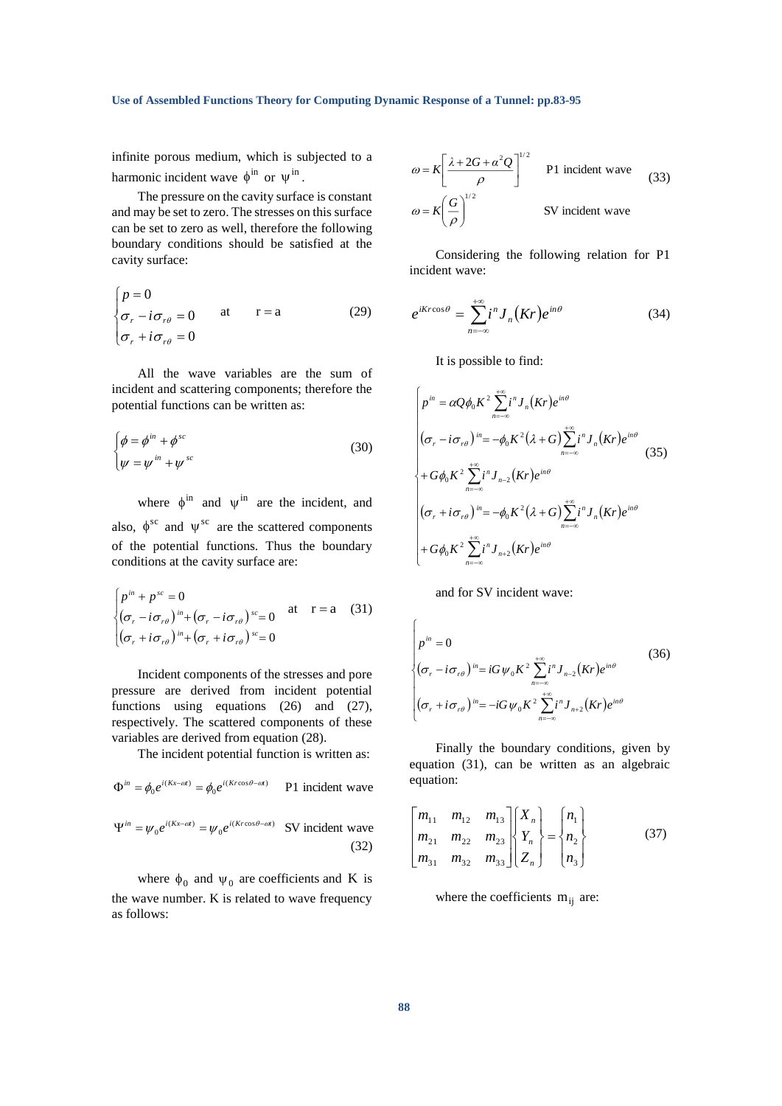#### **Use of Assembled Functions Theory for Computing Dynamic Response of a Tunnel: pp.83-95**

infinite porous medium, which is subjected to a harmonic incident wave  $\phi^{\text{in}}$  or  $\psi^{\text{in}}$ .

The pressure on the cavity surface is constant and may be set to zero. The stresses on this surface can be set to zero as well, therefore the following boundary conditions should be satisfied at the cavity surface:

$$
\begin{cases}\np = 0 \\
\sigma_r - i\sigma_{r\theta} = 0 \quad \text{at} \quad r = a \\
\sigma_r + i\sigma_{r\theta} = 0\n\end{cases}
$$
\n(29)

All the wave variables are the sum of incident and scattering components; therefore the potential functions can be written as:

$$
\begin{cases}\n\phi = \phi^{in} + \phi^{sc} \\
\psi = \psi^{in} + \psi^{sc}\n\end{cases}
$$
\n(30)

where  $\phi^{\text{in}}$  and  $\psi^{\text{in}}$  are the incident, and also,  $\phi^{sc}$  and  $\psi^{sc}$  are the scattered components of the potential functions. Thus the boundary conditions at the cavity surface are:

$$
\begin{cases} p^{in} + p^{sc} = 0 \\ (\sigma_r - i\sigma_{r\theta})^{in} + (\sigma_r - i\sigma_{r\theta})^{sc} = 0 \quad \text{at} \quad r = a \quad (31) \\ (\sigma_r + i\sigma_{r\theta})^{in} + (\sigma_r + i\sigma_{r\theta})^{sc} = 0 \end{cases}
$$

Incident components of the stresses and pore pressure are derived from incident potential functions using equations (26) and (27), respectively. The scattered components of these variables are derived from equation (28).

The incident potential function is written as:

$$
\Phi^{in} = \phi_0 e^{i(Kx - \omega t)} = \phi_0 e^{i(Kr\cos\theta - \omega t)}
$$
 P1 incident wave

$$
\Psi^{m} = \psi_0 e^{i(\kappa x - \omega t)} = \psi_0 e^{i(\kappa r \cos \theta - \omega t)}
$$
SV incident wave (32)

where  $\phi_0$  and  $\psi_0$  are coefficients and K is the wave number. K is related to wave frequency as follows:

$$
\omega = K \left[ \frac{\lambda + 2G + \alpha^2 Q}{\rho} \right]^{1/2}
$$
 P1 incident wave  
\n
$$
\omega = K \left( \frac{G}{\rho} \right)^{1/2}
$$
SV incident wave (33)

Considering the following relation for P1 incident wave:

$$
e^{iKr\cos\theta} = \sum_{n=-\infty}^{+\infty} i^n J_n(Kr)e^{in\theta}
$$
 (34)

It is possible to find:

$$
\begin{cases}\np^{in} = \alpha Q \phi_0 K^2 \sum_{n=-\infty}^{+\infty} i^n J_n(Kr) e^{in\theta} \\
(\sigma_r - i \sigma_{r\theta})^{in} = -\phi_0 K^2 (\lambda + G) \sum_{n=-\infty}^{+\infty} i^n J_n(Kr) e^{in\theta} \\
+ G \phi_0 K^2 \sum_{n=-\infty}^{+\infty} i^n J_{n-2}(Kr) e^{in\theta} \\
(\sigma_r + i \sigma_{r\theta})^{in} = -\phi_0 K^2 (\lambda + G) \sum_{n=-\infty}^{+\infty} i^n J_n(Kr) e^{in\theta} \\
+ G \phi_0 K^2 \sum_{n=-\infty}^{+\infty} i^n J_{n+2}(Kr) e^{in\theta}\n\end{cases} \tag{35}
$$

and for SV incident wave:

$$
\begin{cases}\np^{in} = 0 & (36) \\
(\sigma_r - i\sigma_{r\theta})^{in} = iG\psi_0 K^2 \sum_{n=-\infty}^{+\infty} i^n J_{n-2}(Kr)e^{in\theta} \\
(\sigma_r + i\sigma_{r\theta})^{in} = -iG\psi_0 K^2 \sum_{n=-\infty}^{+\infty} i^n J_{n+2}(Kr)e^{in\theta}\n\end{cases}
$$

Finally the boundary conditions, given by equation (31), can be written as an algebraic equation:

$$
\begin{bmatrix} m_{11} & m_{12} & m_{13} \\ m_{21} & m_{22} & m_{23} \\ m_{31} & m_{32} & m_{33} \end{bmatrix} \begin{bmatrix} X_n \\ Y_n \\ Z_n \end{bmatrix} = \begin{Bmatrix} n_1 \\ n_2 \\ n_3 \end{Bmatrix}
$$
 (37)

where the coefficients  $m_{ij}$  are: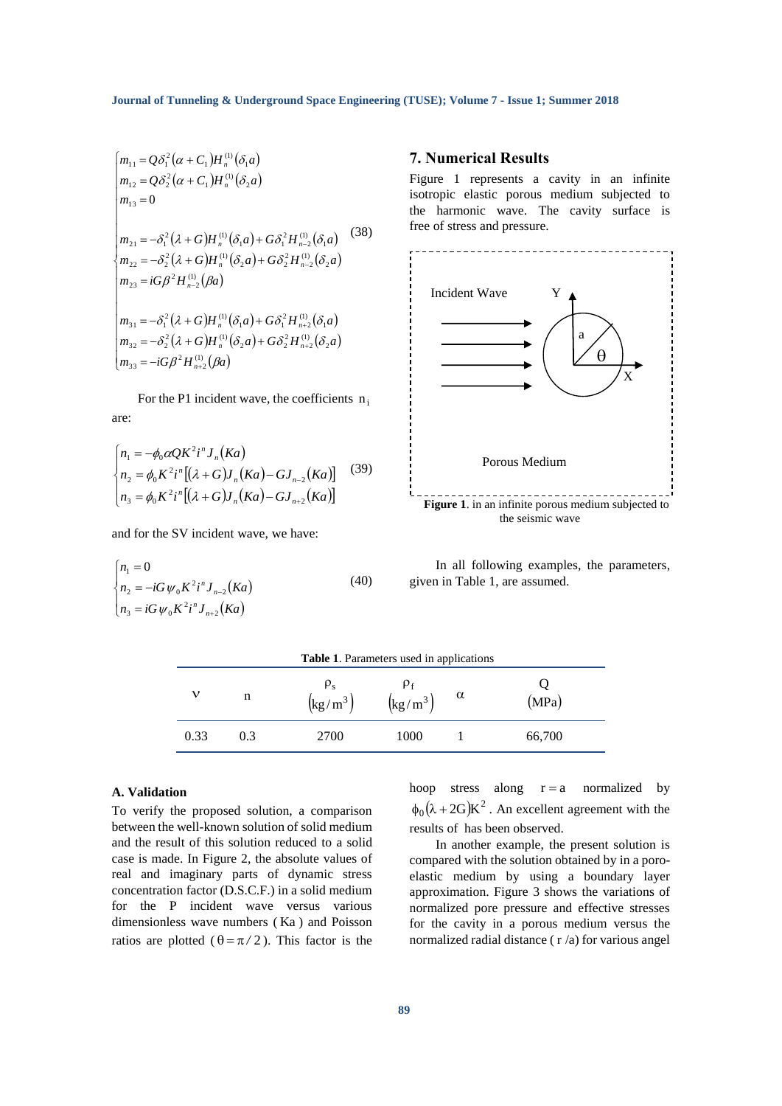$$
\begin{vmatrix}\nm_{11} = Q\delta_1^2(\alpha + C_1)H_n^{(1)}(\delta_1 a) \\
m_{12} = Q\delta_2^2(\alpha + C_1)H_n^{(1)}(\delta_2 a) \\
m_{13} = 0\n\end{vmatrix}
$$
\n
$$
\begin{vmatrix}\nm_{21} = -\delta_1^2(\lambda + G)H_n^{(1)}(\delta_1 a) + G\delta_1^2H_{n-2}^{(1)}(\delta_1 a) & (38) \\
m_{22} = -\delta_2^2(\lambda + G)H_n^{(1)}(\delta_2 a) + G\delta_2^2H_{n-2}^{(1)}(\delta_2 a) & (39) \\
m_{33} = G\beta^2H_{n-2}^{(1)}(\beta a) & \\
m_{31} = -\delta_1^2(\lambda + G)H_n^{(1)}(\delta_1 a) + G\delta_1^2H_{n+2}^{(1)}(\delta_1 a) & \\
m_{32} = -\delta_2^2(\lambda + G)H_n^{(1)}(\delta_2 a) + G\delta_2^2H_{n+2}^{(1)}(\delta_2 a) & \\
m_{33} = -iG\beta^2H_{n+2}^{(1)}(\beta a) & \\
\text{For the P1 incident wave, the coefficients } n_1 \text{ are:}
$$
\n
$$
\begin{vmatrix}\nn_1 = -\phi_0 \alpha QK^2i^n J_n(Ka) & (39) \\
n_2 = \phi_0 K^2i^n [( \lambda + G) J_n(Ka) - G J_{n-2}(Ka) ] & (39) \\
n_3 = \phi_0 K^2i^n [( \lambda + G) J_n(Ka) - G J_{n+2}(Ka) ] & \\
n_4 = \phi_0 K^2i^n J_{n+2}(Ka) & (40) \\
n_5 = iG \psi_0 K^2i^n J_{n+2}(Ka) & \\
n_6 = -iG \psi_0 K^2i^n J_{n+2}(Ka) & \\
n_7 = -iG \psi_0 K^2i^n J_{n+2}(Ka) & \\
n_8 = -iG \psi_0 K^2i^n J_{n+2}(Ka) & \\
n_9 = -iG \psi_0 K^2i^n J_{n+2}(Ka) & \\
n_1 = -iG \psi_0 K^2i^n J_{n+2}(Ka) & \\
n_2 = -iG \psi_0 K^2i^n J_{n+2}(Ka) & \\
n_1 = -iG \psi_0
$$

For the P1 incident wave, the coefficients  $n_i$ are:

$$
\begin{cases}\nn_1 = -\phi_0 \alpha Q K^2 i^n J_n(Ka) \\
n_2 = \phi_0 K^2 i^n [(\lambda + G) J_n(Ka) - G J_{n-2}(Ka)] \\
n_3 = \phi_0 K^2 i^n [(\lambda + G) J_n(Ka) - G J_{n+2}(Ka)]\n\end{cases} (39)
$$

and for the SV incident wave, we have:

$$
\begin{cases} n_1 = 0 \\ n_2 = -iG \psi_0 K^2 i^n J_{n-2}(Ka) \\ n_3 = iG \psi_0 K^2 i^n J_{n+2}(Ka) \end{cases} (40)
$$

#### **7. Numerical Results**

Figure 1 represents a cavity in an infinite isotropic elastic porous medium subjected to the harmonic wave. The cavity surface is free of stress and pressure.



In all following examples, the parameters, given in Table 1, are assumed.

| Table 1. Parameters used in applications |     |                                                        |                                             |   |        |  |
|------------------------------------------|-----|--------------------------------------------------------|---------------------------------------------|---|--------|--|
|                                          | n   | $P_{S}$<br>$\left(\frac{\text{kg}}{\text{m}^3}\right)$ | $\left(\frac{\text{kg}}{\text{m}^3}\right)$ | α | (MPa)  |  |
| 0.33                                     | 0.3 | 2700                                                   | 1000                                        |   | 66,700 |  |

#### **A. Validation**

To verify the proposed solution, a comparison between the well-known solution of solid medium and the result of this solution reduced to a solid case is made. In Figure 2, the absolute values of real and imaginary parts of dynamic stress concentration factor (D.S.C.F.) in a solid medium for the P incident wave versus various dimensionless wave numbers ( Ka ) and Poisson ratios are plotted ( $\theta = \pi/2$ ). This factor is the

hoop stress along  $r = a$  normalized by  $\phi_0(\lambda + 2G)K^2$ . An excellent agreement with the results of has been observed.

In another example, the present solution is compared with the solution obtained by in a poroelastic medium by using a boundary layer approximation. Figure 3 shows the variations of normalized pore pressure and effective stresses for the cavity in a porous medium versus the normalized radial distance ( r /a) for various angel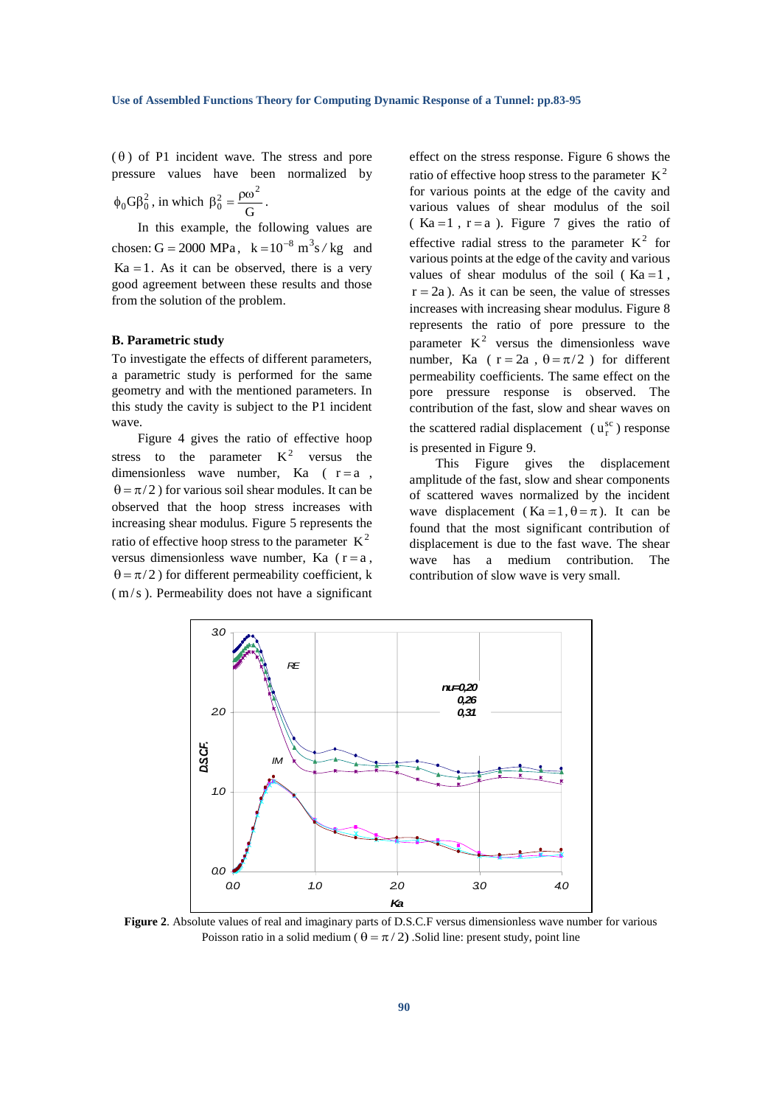$(\theta)$  of P1 incident wave. The stress and pore pressure values have been normalized by  $\phi_0 G \beta_0^2$ , in which  $\beta_0^2 = \frac{\rho \omega}{G}$  $\beta_0^2 = \frac{\rho \omega^2}{\sigma}.$ 

In this example, the following values are chosen:  $G = 2000 \text{ MPa}$ ,  $k = 10^{-8} \text{ m}^3 \text{s} / \text{kg}$  and  $Ka = 1$ . As it can be observed, there is a very good agreement between these results and those from the solution of the problem.

### **B. Parametric study**

To investigate the effects of different parameters, a parametric study is performed for the same geometry and with the mentioned parameters. In this study the cavity is subject to the P1 incident wave.

Figure 4 gives the ratio of effective hoop stress to the parameter  $K^2$  versus the dimensionless wave number, Ka  $(r=a,$  $\theta = \pi/2$ ) for various soil shear modules. It can be observed that the hoop stress increases with increasing shear modulus. Figure 5 represents the ratio of effective hoop stress to the parameter  $K^2$ versus dimensionless wave number, Ka  $(r = a,$  $\theta = \pi/2$ ) for different permeability coefficient, k ( m/s ). Permeability does not have a significant

effect on the stress response. Figure 6 shows the ratio of effective hoop stress to the parameter  $K^2$ for various points at the edge of the cavity and various values of shear modulus of the soil  $(Ka = 1, r = a)$ . Figure 7 gives the ratio of effective radial stress to the parameter  $K^2$  for various points at the edge of the cavity and various values of shear modulus of the soil ( $Ka = 1$ ,  $r = 2a$ ). As it can be seen, the value of stresses increases with increasing shear modulus. Figure 8 represents the ratio of pore pressure to the parameter  $K^2$  versus the dimensionless wave number, Ka ( $r = 2a$ ,  $\theta = \pi/2$ ) for different permeability coefficients. The same effect on the pore pressure response is observed. The contribution of the fast, slow and shear waves on the scattered radial displacement  $(u_r^{\text{sc}})$  response is presented in Figure 9.

This Figure gives the displacement amplitude of the fast, slow and shear components of scattered waves normalized by the incident wave displacement (Ka = 1,  $\theta = \pi$ ). It can be found that the most significant contribution of displacement is due to the fast wave. The shear wave has a medium contribution. The contribution of slow wave is very small.



**Figure 2.** Absolute values of real and imaginary parts of D.S.C.F versus dimensionless wave number for various Poisson ratio in a solid medium ( $\theta = \pi/2$ ). Solid line: present study, point line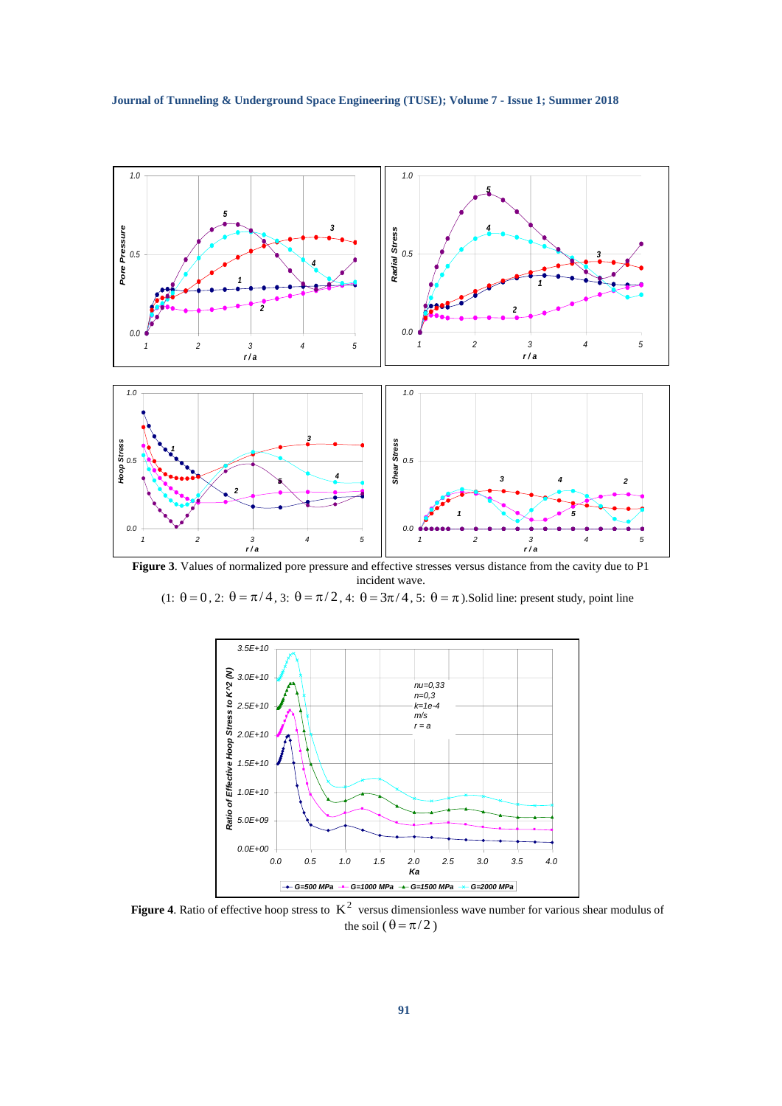

**Figure 3**. Values of normalized pore pressure and effective stresses versus distance from the cavity due to P1 incident wave.

 $(1: \theta = 0, 2: \theta = \pi/4, 3: \theta = \pi/2, 4: \theta = 3\pi/4, 5: \theta = \pi)$ . Solid line: present study, point line



**Figure** 4. Ratio of effective hoop stress to  $K^2$  versus dimensionless wave number for various shear modulus of the soil  $(\theta = \pi/2)$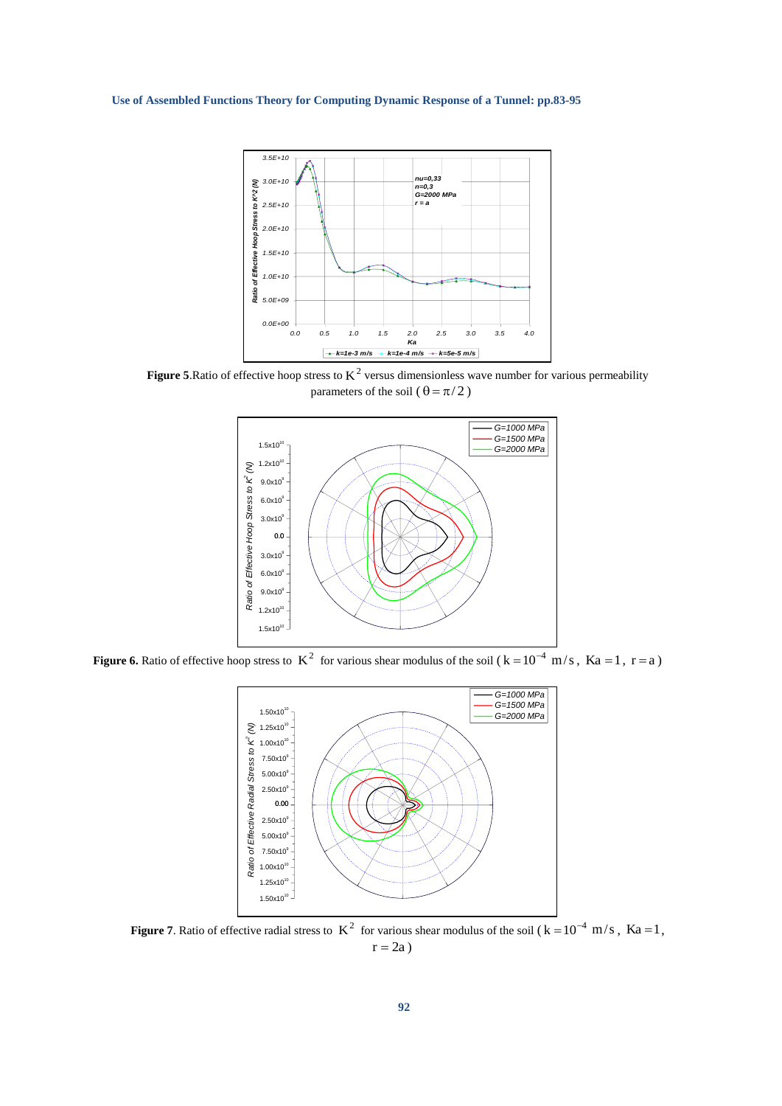**Use of Assembled Functions Theory for Computing Dynamic Response of a Tunnel: pp.83-95**



**Figure 5**. Ratio of effective hoop stress to  $K^2$  versus dimensionless wave number for various permeability parameters of the soil ( $\theta = \pi/2$ )



**Figure 6.** Ratio of effective hoop stress to  $K^2$  for various shear modulus of the soil  $(k=10^{-4} \text{ m/s}, Ka=1, r=a)$ 



**Figure 7.** Ratio of effective radial stress to  $K^2$  for various shear modulus of the soil ( $k = 10^{-4}$  m/s,  $Ka = 1$ ,  $r = 2a$ )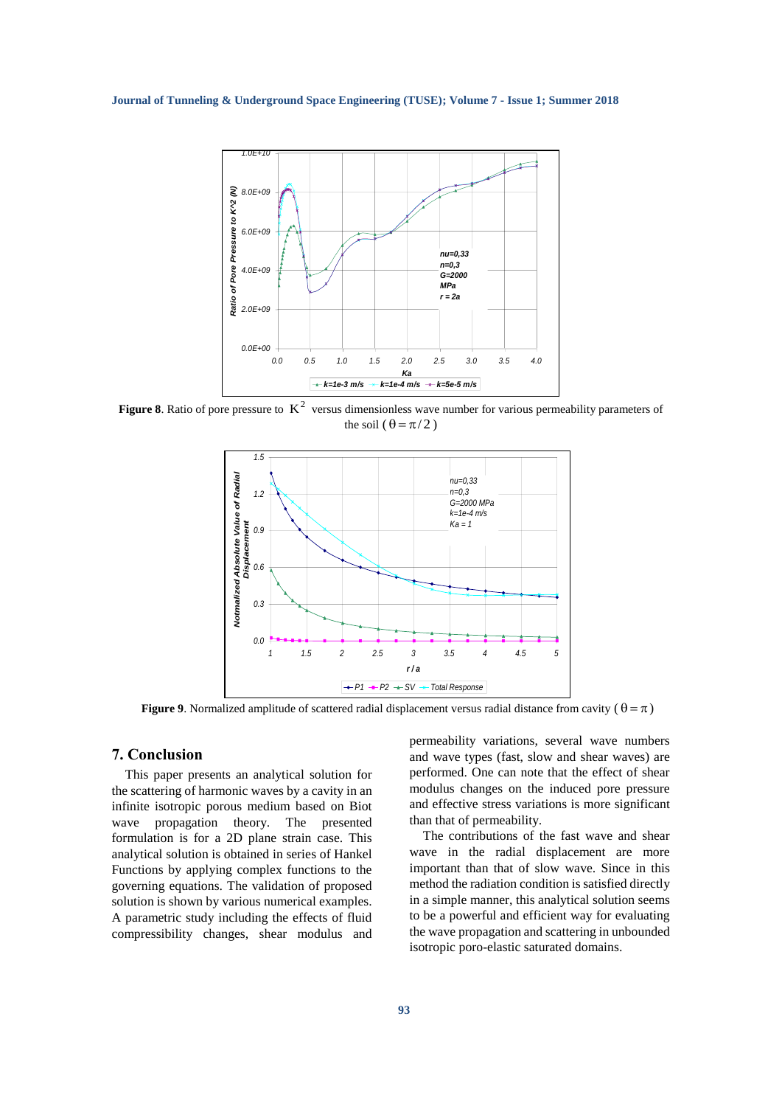

**Figure 8**. Ratio of pore pressure to  $K^2$  versus dimensionless wave number for various permeability parameters of the soil  $(\theta = \pi/2)$ 



**Figure 9.** Normalized amplitude of scattered radial displacement versus radial distance from cavity ( $\theta = \pi$ )

### **7. Conclusion**

This paper presents an analytical solution for the scattering of harmonic waves by a cavity in an infinite isotropic porous medium based on Biot wave propagation theory. The presented formulation is for a 2D plane strain case. This analytical solution is obtained in series of Hankel Functions by applying complex functions to the governing equations. The validation of proposed solution is shown by various numerical examples. A parametric study including the effects of fluid compressibility changes, shear modulus and

permeability variations, several wave numbers and wave types (fast, slow and shear waves) are performed. One can note that the effect of shear modulus changes on the induced pore pressure and effective stress variations is more significant than that of permeability.

The contributions of the fast wave and shear wave in the radial displacement are more important than that of slow wave. Since in this method the radiation condition is satisfied directly in a simple manner, this analytical solution seems to be a powerful and efficient way for evaluating the wave propagation and scattering in unbounded isotropic poro-elastic saturated domains.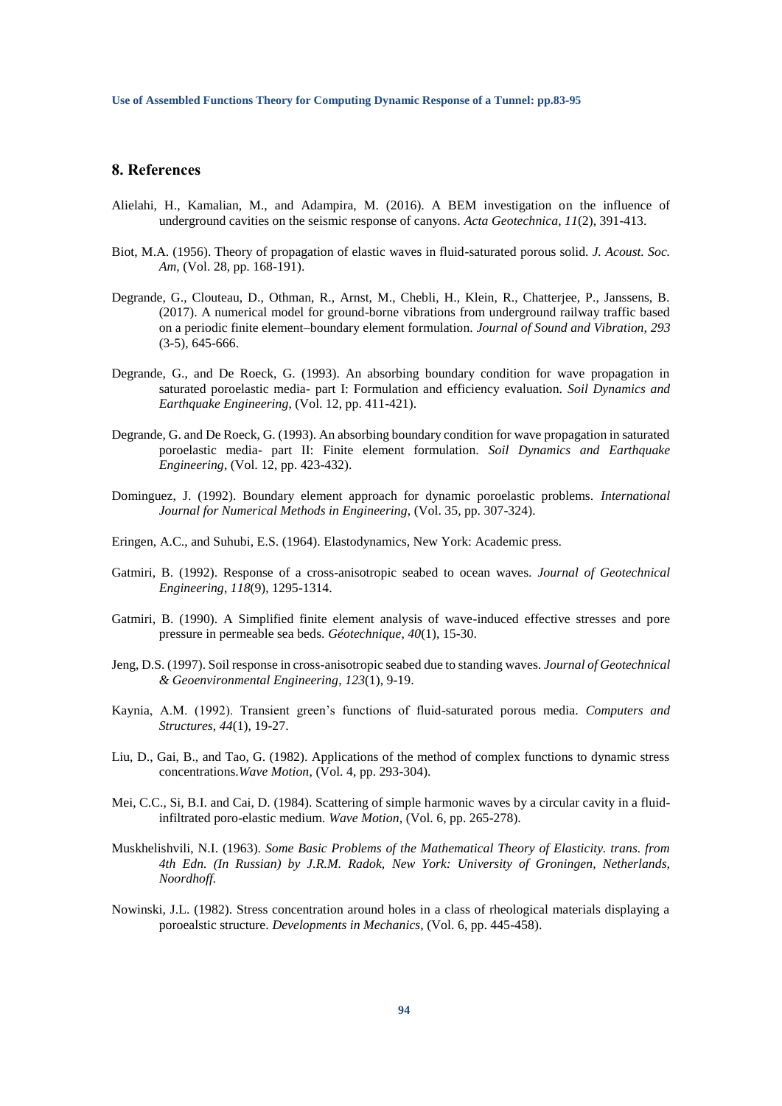# **8. References**

- Alielahi, H., Kamalian, M., and Adampira, M. (2016). A BEM investigation on the influence of underground cavities on the seismic response of canyons. *Acta Geotechnica*, *11*(2), 391-413.
- Biot, M.A. (1956). Theory of propagation of elastic waves in fluid-saturated porous solid. *J. Acoust. Soc. Am*, (Vol. 28, pp. 168-191).
- Degrande, G., Clouteau, D., Othman, R., Arnst, M., Chebli, H., Klein, R., Chatterjee, P., Janssens, B. (2017). A numerical model for ground-borne vibrations from underground railway traffic based on a periodic finite element–boundary element formulation. *Journal of Sound and Vibration, 293* (3-5), 645-666.
- Degrande, G., and De Roeck, G. (1993). An absorbing boundary condition for wave propagation in saturated poroelastic media- part I: Formulation and efficiency evaluation. *Soil Dynamics and Earthquake Engineering*, (Vol. 12, pp. 411-421).
- Degrande, G. and De Roeck, G. (1993). An absorbing boundary condition for wave propagation in saturated poroelastic media- part II: Finite element formulation. *Soil Dynamics and Earthquake Engineering*, (Vol. 12, pp. 423-432).
- Dominguez, J. (1992). Boundary element approach for dynamic poroelastic problems. *International Journal for Numerical Methods in Engineering*, (Vol. 35, pp. 307-324).
- Eringen, A.C., and Suhubi, E.S. (1964). Elastodynamics, New York: Academic press.
- Gatmiri, B. (1992). Response of a cross-anisotropic seabed to ocean waves. *Journal of Geotechnical Engineering*, *118*(9), 1295-1314.
- Gatmiri, B. (1990). A Simplified finite element analysis of wave-induced effective stresses and pore pressure in permeable sea beds. *Géotechnique*, *40*(1), 15-30.
- Jeng, D.S. (1997). Soil response in cross-anisotropic seabed due to standing waves. *Journal of Geotechnical & Geoenvironmental Engineering*, *123*(1), 9-19.
- Kaynia, A.M. (1992). Transient green's functions of fluid-saturated porous media. *Computers and Structures*, *44*(1), 19-27.
- Liu, D., Gai, B., and Tao, G. (1982). Applications of the method of complex functions to dynamic stress concentrations.*Wave Motion*, (Vol. 4, pp. 293-304).
- Mei, C.C., Si, B.I. and Cai, D. (1984). Scattering of simple harmonic waves by a circular cavity in a fluidinfiltrated poro-elastic medium. *Wave Motion*, (Vol. 6, pp. 265-278).
- Muskhelishvili, N.I. (1963). *Some Basic Problems of the Mathematical Theory of Elasticity. trans. from 4th Edn. (In Russian) by J.R.M. Radok, New York: University of Groningen, Netherlands, Noordhoff.*
- Nowinski, J.L. (1982). Stress concentration around holes in a class of rheological materials displaying a poroealstic structure. *Developments in Mechanics*, (Vol. 6, pp. 445-458).